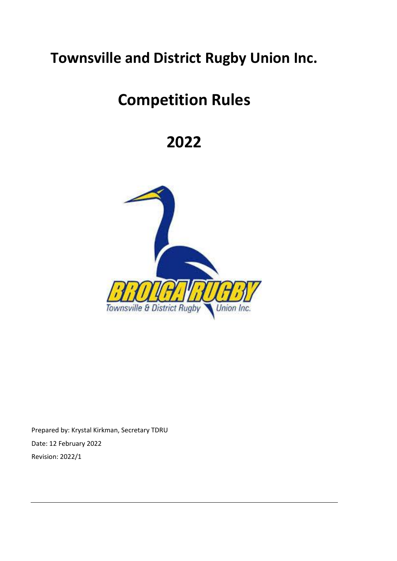# **Townsville and District Rugby Union Inc.**

# **Competition Rules**

# **2022**



Prepared by: Krystal Kirkman, Secretary TDRU Date: 12 February 2022 Revision: 2022/1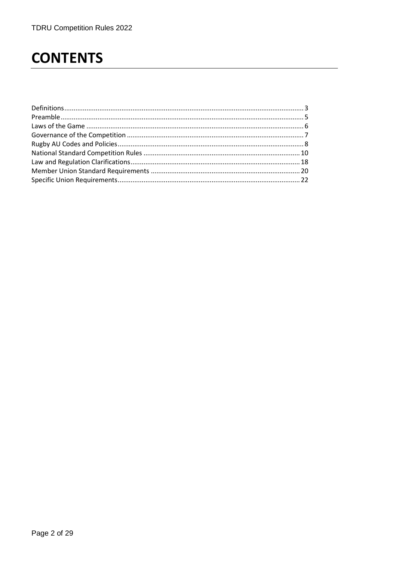# **CONTENTS**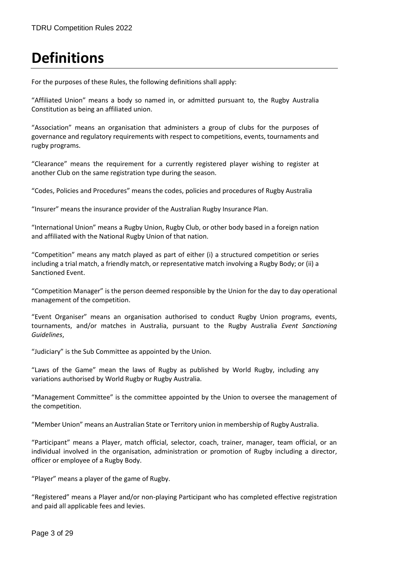# <span id="page-2-0"></span>**Definitions**

For the purposes of these Rules, the following definitions shall apply:

"Affiliated Union" means a body so named in, or admitted pursuant to, the Rugby Australia Constitution as being an affiliated union.

"Association" means an organisation that administers a group of clubs for the purposes of governance and regulatory requirements with respect to competitions, events, tournaments and rugby programs.

"Clearance" means the requirement for a currently registered player wishing to register at another Club on the same registration type during the season.

"Codes, Policies and Procedures" means the codes, policies and procedures of Rugby Australia

"Insurer" means the insurance provider of the Australian Rugby Insurance Plan.

"International Union" means a Rugby Union, Rugby Club, or other body based in a foreign nation and affiliated with the National Rugby Union of that nation.

"Competition" means any match played as part of either (i) a structured competition or series including a trial match, a friendly match, or representative match involving a Rugby Body; or (ii) a Sanctioned Event.

"Competition Manager" is the person deemed responsible by the Union for the day to day operational management of the competition.

"Event Organiser" means an organisation authorised to conduct Rugby Union programs, events, tournaments, and/or matches in Australia, pursuant to the Rugby Australia *Event Sanctioning Guidelines*,

"Judiciary" is the Sub Committee as appointed by the Union.

"Laws of the Game" mean the laws of Rugby as published by World Rugby, including any variations authorised by World Rugby or Rugby Australia.

"Management Committee" is the committee appointed by the Union to oversee the management of the competition.

"Member Union" means an Australian State or Territory union in membership of Rugby Australia.

"Participant" means a Player, match official, selector, coach, trainer, manager, team official, or an individual involved in the organisation, administration or promotion of Rugby including a director, officer or employee of a Rugby Body.

"Player" means a player of the game of Rugby.

"Registered" means a Player and/or non-playing Participant who has completed effective registration and paid all applicable fees and levies.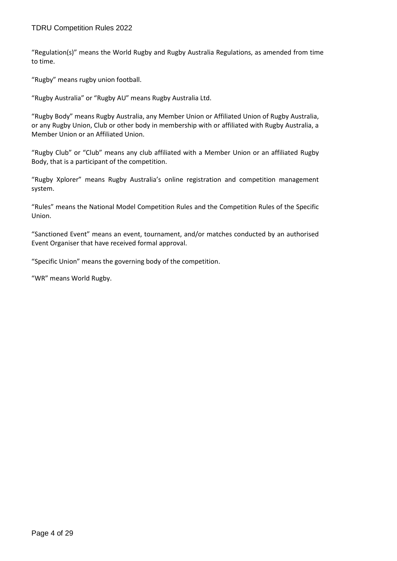"Regulation(s)" means the World Rugby and Rugby Australia Regulations, as amended from time to time.

"Rugby" means rugby union football.

"Rugby Australia" or "Rugby AU" means Rugby Australia Ltd.

"Rugby Body" means Rugby Australia, any Member Union or Affiliated Union of Rugby Australia, or any Rugby Union, Club or other body in membership with or affiliated with Rugby Australia, a Member Union or an Affiliated Union.

"Rugby Club" or "Club" means any club affiliated with a Member Union or an affiliated Rugby Body, that is a participant of the competition.

"Rugby Xplorer" means Rugby Australia's online registration and competition management system.

"Rules" means the National Model Competition Rules and the Competition Rules of the Specific Union.

"Sanctioned Event" means an event, tournament, and/or matches conducted by an authorised Event Organiser that have received formal approval.

"Specific Union" means the governing body of the competition.

"WR" means World Rugby.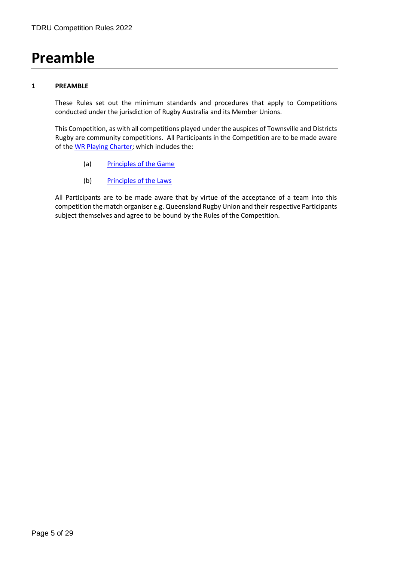# <span id="page-4-0"></span>**Preamble**

## **1 PREAMBLE**

These Rules set out the minimum standards and procedures that apply to Competitions conducted under the jurisdiction of Rugby Australia and its Member Unions.

This Competition, as with all competitions played under the auspices of Townsville and Districts Rugby are community competitions. All Participants in the Competition are to be made aware of the [WR Playing Charter;](https://www.world.rugby/the-game/laws/charter) which includes the:

- (a) [Principles of the Game](https://www.world.rugby/the-game/laws/charter/principles-of-the-game)
- (b) [Principles of the Laws](https://www.world.rugby/the-game/laws/charter/principles-of-the-laws)

All Participants are to be made aware that by virtue of the acceptance of a team into this competition the match organiser e.g. Queensland Rugby Union and their respective Participants subject themselves and agree to be bound by the Rules of the Competition.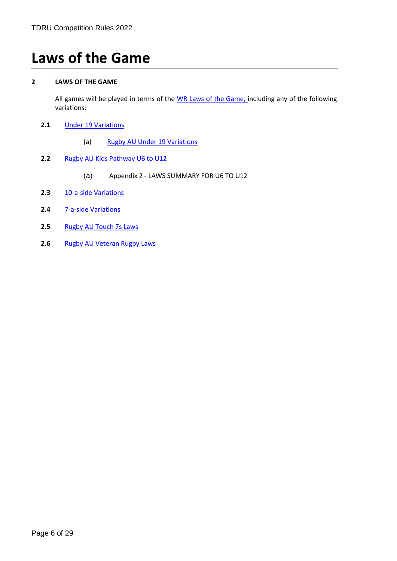# <span id="page-5-0"></span>**Laws of the Game**

# **2 LAWS OF THE GAME**

All games will be played in terms of the [WR Laws of the Game,](https://www.world.rugby/the-game/laws/home) including any of the following variations:

- **2.1** [Under 19 Variations](http://laws.worldrugby.org/index.php?variation=1)
	- (a) Rugby AU Under 19 Variations
- **2.2** Rugby AU [Kids Pathway U6 to U12](https://australia.rugby/participate/referee/laws)
	- (a) Appendix 2 LAWS SUMMARY FOR U6 TO U12
- 2.3 [10-a-side Variations](http://laws.worldrugby.org/?variation=3)
- **2.4** [7-a-side Variations](https://laws.worldrugby.org/?variation=2)
- **2.5** [Rugby AU Touch 7s Laws](https://australia.rugby/participate/referee/laws)
- **2.6** [Rugby AU Veteran Rugby Laws](https://australia.rugby/participate/referee/laws)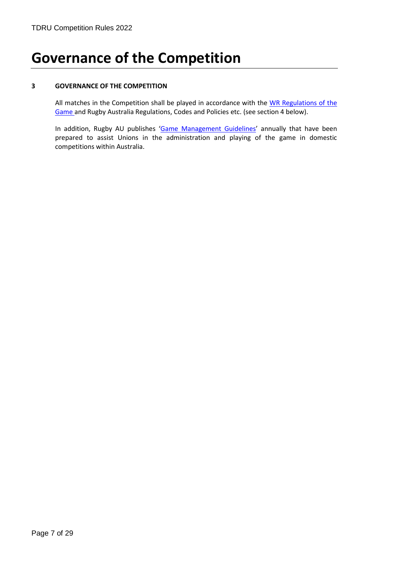# <span id="page-6-0"></span>**Governance of the Competition**

## **3 GOVERNANCE OF THE COMPETITION**

All matches in the Competition shall be played in accordance with the WR Regulations of the [Game](https://www.world.rugby/regulations?lang=en) and Rugby Australia Regulations, Codes and Policies etc. (see section 4 below).

In addition, Rugby AU publishes '[Game Management Guidelines](https://australia.rugby/participate/referee/laws)' annually that have been prepared to assist Unions in the administration and playing of the game in domestic competitions within Australia.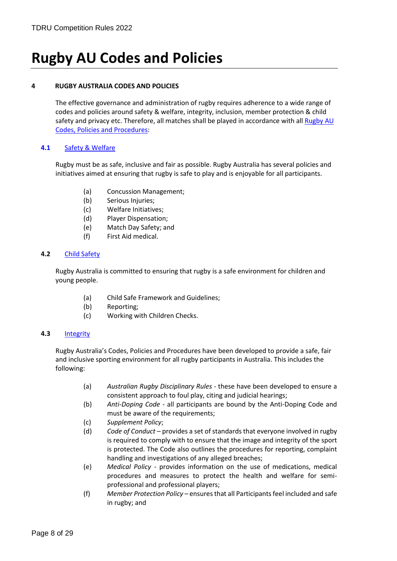# <span id="page-7-0"></span>**Rugby AU Codes and Policies**

## **4 RUGBY AUSTRALIA CODES AND POLICIES**

The effective governance and administration of rugby requires adherence to a wide range of codes and policies around safety & welfare, integrity, inclusion, member protection & child safety and privacy etc. Therefore, all matches shall be played in accordance with all Rugby AU Codes, Policies [and Procedures:](https://australia.rugby/about/codes-and-policies/all-codes-and-policies)

# **4.1** [Safety & Welfare](https://australia.rugby/about/codes-and-policies/safety-and-welfare)

Rugby must be as safe, inclusive and fair as possible. Rugby Australia has several policies and initiatives aimed at ensuring that rugby is safe to play and is enjoyable for all participants.

- (a) Concussion Management;
- (b) Serious Injuries;
- (c) Welfare Initiatives;
- (d) Player Dispensation;
- (e) Match Day Safety; and
- (f) First Aid medical.

### **4.2** [Child Safety](https://australia.rugby/about/codes-and-policies/child-safety)

Rugby Australia is committed to ensuring that rugby is a safe environment for children and young people.

- (a) Child Safe Framework and Guidelines;
- (b) Reporting;
- (c) Working with Children Checks.

### **4.3** [Integrity](https://australia.rugby/about/codes-and-policies/integrity)

Rugby Australia's Codes, Policies and Procedures have been developed to provide a safe, fair and inclusive sporting environment for all rugby participants in Australia. This includes the following:

- (a) *Australian Rugby Disciplinary Rules* these have been developed to ensure a consistent approach to foul play, citing and judicial hearings;
- (b) *Anti-Doping Code* all participants are bound by the Anti-Doping Code and must be aware of the requirements;
- (c) *Supplement Policy*;
- (d) *Code of Conduct* provides a set of standards that everyone involved in rugby is required to comply with to ensure that the image and integrity of the sport is protected. The Code also outlines the procedures for reporting, complaint handling and investigations of any alleged breaches;
- (e) *Medical Policy* provides information on the use of medications, medical procedures and measures to protect the health and welfare for semiprofessional and professional players;
- (f) *Member Protection Policy* ensures that all Participants feel included and safe in rugby; and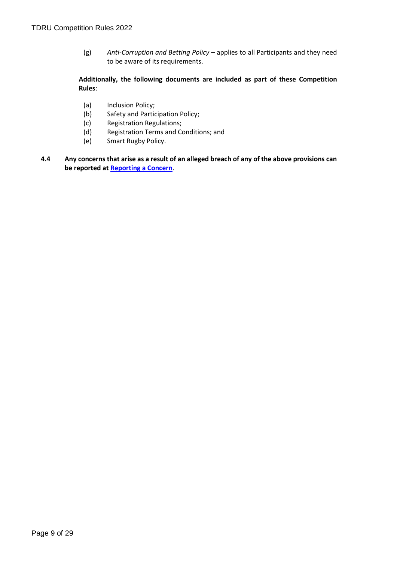(g) *Anti-Corruption and Betting Policy* – applies to all Participants and they need to be aware of its requirements.

# **Additionally, the following documents are included as part of these Competition Rules**:

- (a) Inclusion Policy;
- (b) Safety and Participation Policy;
- (c) Registration Regulations;
- (d) Registration Terms and Conditions; and
- (e) Smart Rugby Policy.
- **4.4 Any concerns that arise as a result of an alleged breach of any of the above provisions can be reported a[t Reporting a Concern](https://australia.rugby/about/codes-and-policies/reporting-a-concern)**.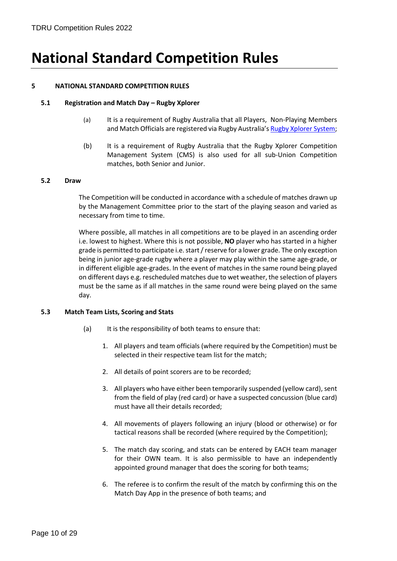# <span id="page-9-0"></span>**National Standard Competition Rules**

## **5 NATIONAL STANDARD COMPETITION RULES**

### **5.1 Registration and Match Day – Rugby Xplorer**

- (a) It is a requirement of Rugby Australia that all Players, Non-Playing Members and Match Officials are registered via Rugby Australia'[s Rugby Xplorer](https://australia.rugby/participate/rugby-administration/club-administration) System;
- (b) It is a requirement of Rugby Australia that the Rugby Xplorer Competition Management System (CMS) is also used for all sub-Union Competition matches, both Senior and Junior.

#### **5.2 Draw**

The Competition will be conducted in accordance with a schedule of matches drawn up by the Management Committee prior to the start of the playing season and varied as necessary from time to time.

Where possible, all matches in all competitions are to be played in an ascending order i.e. lowest to highest. Where this is not possible, **NO** player who has started in a higher grade is permitted to participate i.e. start / reserve for a lower grade. The only exception being in junior age-grade rugby where a player may play within the same age-grade, or in different eligible age-grades. In the event of matches in the same round being played on different days e.g. rescheduled matches due to wet weather, the selection of players must be the same as if all matches in the same round were being played on the same day.

### **5.3 Match Team Lists, Scoring and Stats**

- (a) It is the responsibility of both teams to ensure that:
	- 1. All players and team officials (where required by the Competition) must be selected in their respective team list for the match;
	- 2. All details of point scorers are to be recorded;
	- 3. All players who have either been temporarily suspended (yellow card), sent from the field of play (red card) or have a suspected concussion (blue card) must have all their details recorded;
	- 4. All movements of players following an injury (blood or otherwise) or for tactical reasons shall be recorded (where required by the Competition);
	- 5. The match day scoring, and stats can be entered by EACH team manager for their OWN team. It is also permissible to have an independently appointed ground manager that does the scoring for both teams;
	- 6. The referee is to confirm the result of the match by confirming this on the Match Day App in the presence of both teams; and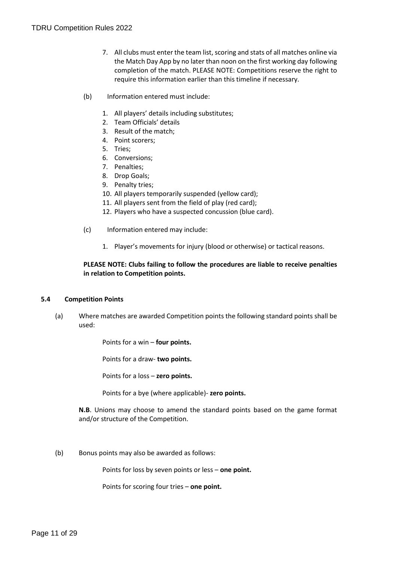- 7. All clubs must enter the team list, scoring and stats of all matches online via the Match Day App by no later than noon on the first working day following completion of the match. PLEASE NOTE: Competitions reserve the right to require this information earlier than this timeline if necessary.
- (b) Information entered must include:
	- 1. All players' details including substitutes;
	- 2. Team Officials' details
	- 3. Result of the match;
	- 4. Point scorers;
	- 5. Tries;
	- 6. Conversions;
	- 7. Penalties;
	- 8. Drop Goals;
	- 9. Penalty tries;
	- 10. All players temporarily suspended (yellow card);
	- 11. All players sent from the field of play (red card);
	- 12. Players who have a suspected concussion (blue card).
- (c) Information entered may include:
	- 1. Player's movements for injury (blood or otherwise) or tactical reasons.

# **PLEASE NOTE: Clubs failing to follow the procedures are liable to receive penalties in relation to Competition points.**

### **5.4 Competition Points**

(a) Where matches are awarded Competition points the following standard points shall be used:

Points for a win – **four points.**

Points for a draw- **two points.**

Points for a loss – **zero points.**

Points for a bye (where applicable)- **zero points.**

**N.B**. Unions may choose to amend the standard points based on the game format and/or structure of the Competition.

(b) Bonus points may also be awarded as follows:

Points for loss by seven points or less – **one point.**

Points for scoring four tries – **one point.**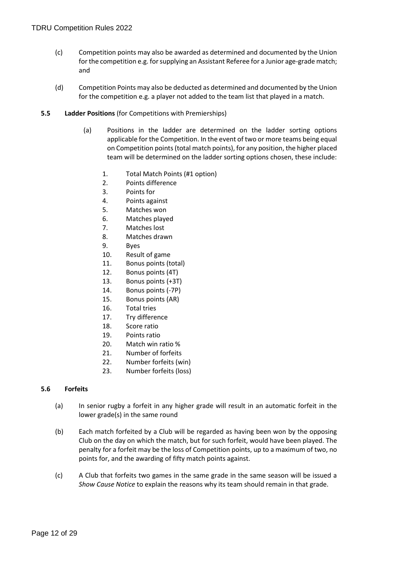- (c) Competition points may also be awarded as determined and documented by the Union for the competition e.g. for supplying an Assistant Referee for a Junior age-grade match; and
- (d) Competition Points may also be deducted as determined and documented by the Union for the competition e.g. a player not added to the team list that played in a match.
- **5.5 Ladder Positions** (for Competitions with Premierships)
	- (a) Positions in the ladder are determined on the ladder sorting options applicable for the Competition. In the event of two or more teams being equal on Competition points (total match points), for any position, the higher placed team will be determined on the ladder sorting options chosen, these include:
		- 1. Total Match Points (#1 option)
		- 2. Points difference
		- 3. Points for
		- 4. Points against
		- 5. Matches won
		- 6. Matches played
		- 7. Matches lost
		- 8. Matches drawn
		- 9. Byes
		- 10. Result of game
		- 11. Bonus points (total)
		- 12. Bonus points (4T)
		- 13. Bonus points (+3T)
		- 14. Bonus points (-7P)
		- 15. Bonus points (AR)
		- 16. Total tries
		- 17. Try difference
		- 18. Score ratio
		- 19. Points ratio
		- 20. Match win ratio %
		- 21. Number of forfeits
		- 22. Number forfeits (win)
		- 23. Number forfeits (loss)

### **5.6 Forfeits**

- (a) In senior rugby a forfeit in any higher grade will result in an automatic forfeit in the lower grade(s) in the same round
- (b) Each match forfeited by a Club will be regarded as having been won by the opposing Club on the day on which the match, but for such forfeit, would have been played. The penalty for a forfeit may be the loss of Competition points, up to a maximum of two, no points for, and the awarding of fifty match points against.
- (c) A Club that forfeits two games in the same grade in the same season will be issued a *Show Cause Notice* to explain the reasons why its team should remain in that grade.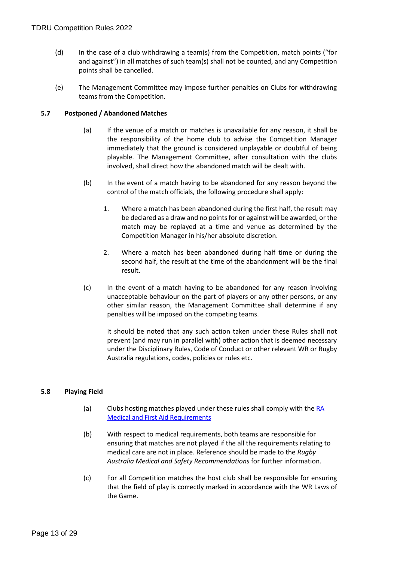- (d) In the case of a club withdrawing a team(s) from the Competition, match points ("for and against") in all matches of such team(s) shall not be counted, and any Competition points shall be cancelled.
- (e) The Management Committee may impose further penalties on Clubs for withdrawing teams from the Competition.

# **5.7 Postponed / Abandoned Matches**

- (a) If the venue of a match or matches is unavailable for any reason, it shall be the responsibility of the home club to advise the Competition Manager immediately that the ground is considered unplayable or doubtful of being playable. The Management Committee, after consultation with the clubs involved, shall direct how the abandoned match will be dealt with.
- (b) In the event of a match having to be abandoned for any reason beyond the control of the match officials, the following procedure shall apply:
	- 1. Where a match has been abandoned during the first half, the result may be declared as a draw and no points for or against will be awarded, or the match may be replayed at a time and venue as determined by the Competition Manager in his/her absolute discretion.
	- 2. Where a match has been abandoned during half time or during the second half, the result at the time of the abandonment will be the final result.
- (c) In the event of a match having to be abandoned for any reason involving unacceptable behaviour on the part of players or any other persons, or any other similar reason, the Management Committee shall determine if any penalties will be imposed on the competing teams.

It should be noted that any such action taken under these Rules shall not prevent (and may run in parallel with) other action that is deemed necessary under the Disciplinary Rules, Code of Conduct or other relevant WR or Rugby Australia regulations, codes, policies or rules etc.

### **5.8 Playing Field**

- (a) Clubs hosting matches played under these rules shall comply with the [RA](https://australia.rugby/about/codes-and-policies/safety-and-welfare/first-aid-and-medical)  [Medical and First Aid Requirements](https://australia.rugby/about/codes-and-policies/safety-and-welfare/first-aid-and-medical)
- (b) With respect to medical requirements, both teams are responsible for ensuring that matches are not played if the all the requirements relating to medical care are not in place. Reference should be made to the *Rugby Australia Medical and Safety Recommendations* for further information.
- (c) For all Competition matches the host club shall be responsible for ensuring that the field of play is correctly marked in accordance with the WR Laws of the Game.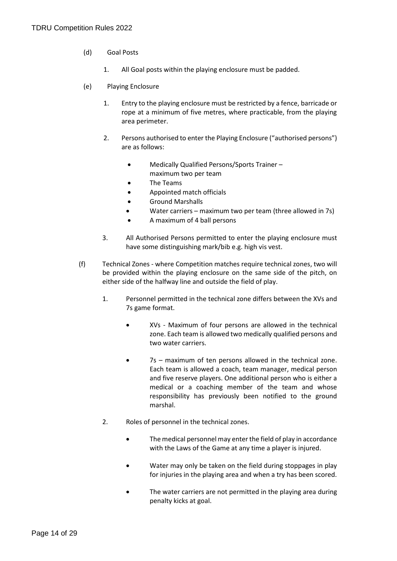- (d) Goal Posts
	- 1. All Goal posts within the playing enclosure must be padded.
- (e) Playing Enclosure
	- 1. Entry to the playing enclosure must be restricted by a fence, barricade or rope at a minimum of five metres, where practicable, from the playing area perimeter.
	- 2. Persons authorised to enter the Playing Enclosure ("authorised persons") are as follows:
		- Medically Qualified Persons/Sports Trainer –
		- maximum two per team
		- The Teams
		- Appointed match officials
		- Ground Marshalls
		- Water carriers maximum two per team (three allowed in 7s)
		- A maximum of 4 ball persons
	- 3. All Authorised Persons permitted to enter the playing enclosure must have some distinguishing mark/bib e.g. high vis vest.
- (f) Technical Zones where Competition matches require technical zones, two will be provided within the playing enclosure on the same side of the pitch, on either side of the halfway line and outside the field of play.
	- 1. Personnel permitted in the technical zone differs between the XVs and 7s game format.
		- XVs Maximum of four persons are allowed in the technical zone. Each team is allowed two medically qualified persons and two water carriers.
		- 7s maximum of ten persons allowed in the technical zone. Each team is allowed a coach, team manager, medical person and five reserve players. One additional person who is either a medical or a coaching member of the team and whose responsibility has previously been notified to the ground marshal.
	- 2. Roles of personnel in the technical zones.
		- The medical personnel may enter the field of play in accordance with the Laws of the Game at any time a player is injured.
		- Water may only be taken on the field during stoppages in play for injuries in the playing area and when a try has been scored.
		- The water carriers are not permitted in the playing area during penalty kicks at goal.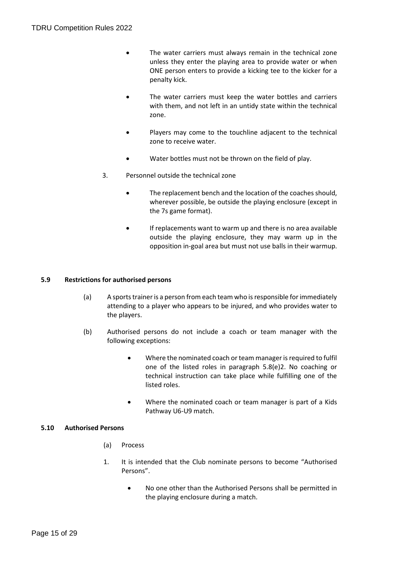- The water carriers must always remain in the technical zone unless they enter the playing area to provide water or when ONE person enters to provide a kicking tee to the kicker for a penalty kick.
- The water carriers must keep the water bottles and carriers with them, and not left in an untidy state within the technical zone.
- Players may come to the touchline adjacent to the technical zone to receive water.
- Water bottles must not be thrown on the field of play.
- 3. Personnel outside the technical zone
	- The replacement bench and the location of the coaches should, wherever possible, be outside the playing enclosure (except in the 7s game format).
	- If replacements want to warm up and there is no area available outside the playing enclosure, they may warm up in the opposition in-goal area but must not use balls in their warmup.

# **5.9 Restrictions for authorised persons**

- (a) A sports trainer is a person from each team who is responsible for immediately attending to a player who appears to be injured, and who provides water to the players.
- (b) Authorised persons do not include a coach or team manager with the following exceptions:
	- Where the nominated coach or team manager is required to fulfil one of the listed roles in paragraph 5.8(e)2. No coaching or technical instruction can take place while fulfilling one of the listed roles.
	- Where the nominated coach or team manager is part of a Kids Pathway U6-U9 match.

### **5.10 Authorised Persons**

- (a) Process
- 1. It is intended that the Club nominate persons to become "Authorised Persons".
	- No one other than the Authorised Persons shall be permitted in the playing enclosure during a match.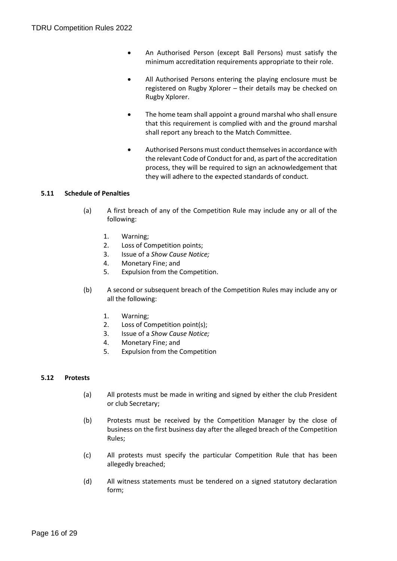- An Authorised Person (except Ball Persons) must satisfy the minimum accreditation requirements appropriate to their role.
- All Authorised Persons entering the playing enclosure must be registered on Rugby Xplorer – their details may be checked on Rugby Xplorer.
- The home team shall appoint a ground marshal who shall ensure that this requirement is complied with and the ground marshal shall report any breach to the Match Committee.
- Authorised Persons must conduct themselves in accordance with the relevant Code of Conduct for and, as part of the accreditation process, they will be required to sign an acknowledgement that they will adhere to the expected standards of conduct.

# **5.11 Schedule of Penalties**

- (a) A first breach of any of the Competition Rule may include any or all of the following:
	- 1. Warning;
	- 2. Loss of Competition points;
	- 3. Issue of a *Show Cause Notice;*
	- 4. Monetary Fine; and
	- 5. Expulsion from the Competition.
- (b) A second or subsequent breach of the Competition Rules may include any or all the following:
	- 1. Warning;
	- 2. Loss of Competition point(s);
	- 3. Issue of a *Show Cause Notice;*
	- 4. Monetary Fine; and
	- 5. Expulsion from the Competition

### **5.12 Protests**

- (a) All protests must be made in writing and signed by either the club President or club Secretary;
- (b) Protests must be received by the Competition Manager by the close of business on the first business day after the alleged breach of the Competition Rules;
- (c) All protests must specify the particular Competition Rule that has been allegedly breached;
- (d) All witness statements must be tendered on a signed statutory declaration form;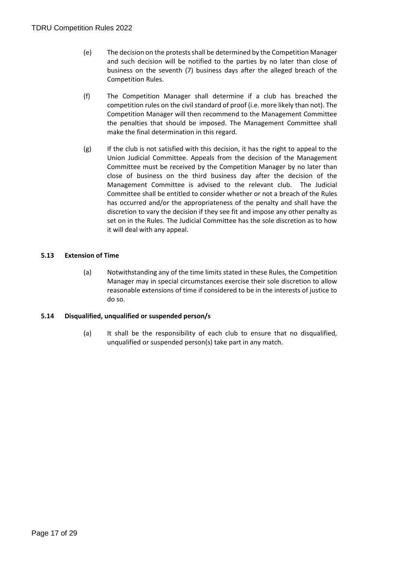- (e) The decision on the protests shall be determined by the Competition Manager and such decision will be notified to the parties by no later than close of business on the seventh (7) business days after the alleged breach of the Competition Rules.
- (f) The Competition Manager shall determine if a club has breached the competition rules on the civil standard of proof (i.e. more likely than not). The Competition Manager will then recommend to the Management Committee the penalties that should be imposed. The Management Committee shall make the final determination in this regard.
- $(g)$  If the club is not satisfied with this decision, it has the right to appeal to the Union Judicial Committee. Appeals from the decision of the Management Committee must be received by the Competition Manager by no later than close of business on the third business day after the decision of the Management Committee is advised to the relevant club. The Judicial Committee shall be entitled to consider whether or not a breach of the Rules has occurred and/or the appropriateness of the penalty and shall have the discretion to vary the decision if they see fit and impose any other penalty as set on in the Rules. The Judicial Committee has the sole discretion as to how it will deal with any appeal.

# **5.13 Extension of Time**

(a) Notwithstanding any of the time limits stated in these Rules, the Competition Manager may in special circumstances exercise their sole discretion to allow reasonable extensions of time if considered to be in the interests of justice to do so.

### **5.14 Disqualified, unqualified or suspended person/s**

<span id="page-16-0"></span>(a) It shall be the responsibility of each club to ensure that no disqualified, unqualified or suspended person(s) take part in any match.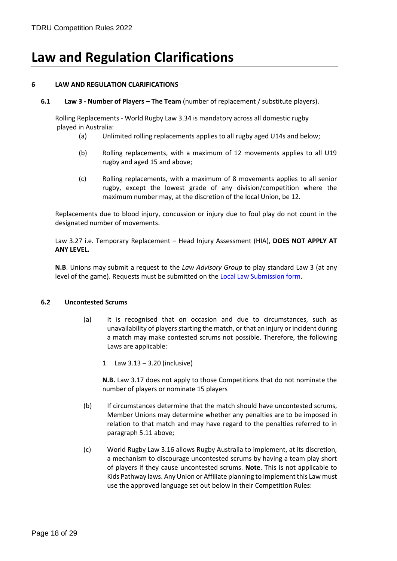# **Law and Regulation Clarifications**

# **6 LAW AND REGULATION CLARIFICATIONS**

**6.1 Law 3 - Number of Players – The Team** (number of replacement / substitute players).

Rolling Replacements - World Rugby Law 3.34 is mandatory across all domestic rugby played in Australia:

- (a) Unlimited rolling replacements applies to all rugby aged U14s and below;
- (b) Rolling replacements, with a maximum of 12 movements applies to all U19 rugby and aged 15 and above;
- (c) Rolling replacements, with a maximum of 8 movements applies to all senior rugby, except the lowest grade of any division/competition where the maximum number may, at the discretion of the local Union, be 12.

Replacements due to blood injury, concussion or injury due to foul play do not count in the designated number of movements.

Law 3.27 i.e. Temporary Replacement – Head Injury Assessment (HIA), **DOES NOT APPLY AT ANY LEVEL.**

**N.B**. Unions may submit a request to the *Law Advisory Group* to play standard Law 3 (at any level of the game). Requests must be submitted on the [Local Law Submission form.](https://australia.rugby/participate/referee/laws)

### **6.2 Uncontested Scrums**

- (a) It is recognised that on occasion and due to circumstances, such as unavailability of players starting the match, or that an injury or incident during a match may make contested scrums not possible. Therefore, the following Laws are applicable:
	- 1. Law 3.13 3.20 (inclusive)

**N.B.** Law 3.17 does not apply to those Competitions that do not nominate the number of players or nominate 15 players

- (b) If circumstances determine that the match should have uncontested scrums, Member Unions may determine whether any penalties are to be imposed in relation to that match and may have regard to the penalties referred to in paragraph 5.11 above;
- (c) World Rugby Law 3.16 allows Rugby Australia to implement, at its discretion, a mechanism to discourage uncontested scrums by having a team play short of players if they cause uncontested scrums. **Note**. This is not applicable to Kids Pathway laws. Any Union or Affiliate planning to implement this Law must use the approved language set out below in their Competition Rules: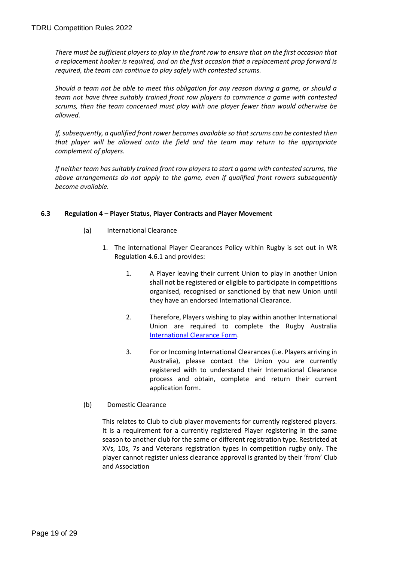*There must be sufficient players to play in the front row to ensure that on the first occasion that a replacement hooker is required, and on the first occasion that a replacement prop forward is required, the team can continue to play safely with contested scrums.*

*Should a team not be able to meet this obligation for any reason during a game, or should a team not have three suitably trained front row players to commence a game with contested scrums, then the team concerned must play with one player fewer than would otherwise be allowed.*

*If, subsequently, a qualified front rower becomes available so that scrums can be contested then that player will be allowed onto the field and the team may return to the appropriate complement of players.*

*If neither team has suitably trained front row players to start a game with contested scrums, the above arrangements do not apply to the game, even if qualified front rowers subsequently become available.*

# **6.3 Regulation 4 – Player Status, Player Contracts and Player Movement**

- (a) International Clearance
	- 1. The international Player Clearances Policy within Rugby is set out in WR Regulation 4.6.1 and provides:
		- 1. A Player leaving their current Union to play in another Union shall not be registered or eligible to participate in competitions organised, recognised or sanctioned by that new Union until they have an endorsed International Clearance.
		- 2. Therefore, Players wishing to play within another International Union are required to complete the Rugby Australia [International Clearance Form.](https://australia.rugby/participate/rugby-administration/international-clearance)
		- 3. For or Incoming International Clearances (i.e. Players arriving in Australia), please contact the Union you are currently registered with to understand their International Clearance process and obtain, complete and return their current application form.
- (b) Domestic Clearance

This relates to Club to club player movements for currently registered players. It is a requirement for a currently registered Player registering in the same season to another club for the same or different registration type. Restricted at XVs, 10s, 7s and Veterans registration types in competition rugby only. The player cannot register unless clearance approval is granted by their 'from' Club and Association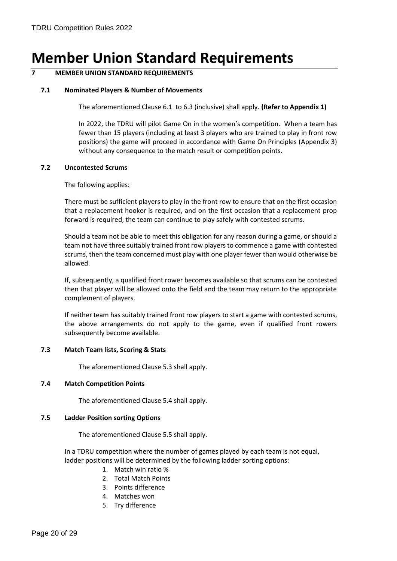# <span id="page-19-0"></span>**Member Union Standard Requirements**

# **7 MEMBER UNION STANDARD REQUIREMENTS**

# **7.1 Nominated Players & Number of Movements**

The aforementioned Clause 6.1 to 6.3 (inclusive) shall apply. **(Refer to Appendix 1)**

In 2022, the TDRU will pilot Game On in the women's competition. When a team has fewer than 15 players (including at least 3 players who are trained to play in front row positions) the game will proceed in accordance with Game On Principles (Appendix 3) without any consequence to the match result or competition points.

### **7.2 Uncontested Scrums**

The following applies:

There must be sufficient players to play in the front row to ensure that on the first occasion that a replacement hooker is required, and on the first occasion that a replacement prop forward is required, the team can continue to play safely with contested scrums.

Should a team not be able to meet this obligation for any reason during a game, or should a team not have three suitably trained front row players to commence a game with contested scrums, then the team concerned must play with one player fewer than would otherwise be allowed.

If, subsequently, a qualified front rower becomes available so that scrums can be contested then that player will be allowed onto the field and the team may return to the appropriate complement of players.

If neither team has suitably trained front row players to start a game with contested scrums, the above arrangements do not apply to the game, even if qualified front rowers subsequently become available.

### **7.3 Match Team lists, Scoring & Stats**

The aforementioned Clause 5.3 shall apply.

### **7.4 Match Competition Points**

The aforementioned Clause 5.4 shall apply.

### **7.5 Ladder Position sorting Options**

The aforementioned Clause 5.5 shall apply.

In a TDRU competition where the number of games played by each team is not equal, ladder positions will be determined by the following ladder sorting options:

- 1. Match win ratio %
- 2. Total Match Points
- 3. Points difference
- 4. Matches won
- 5. Try difference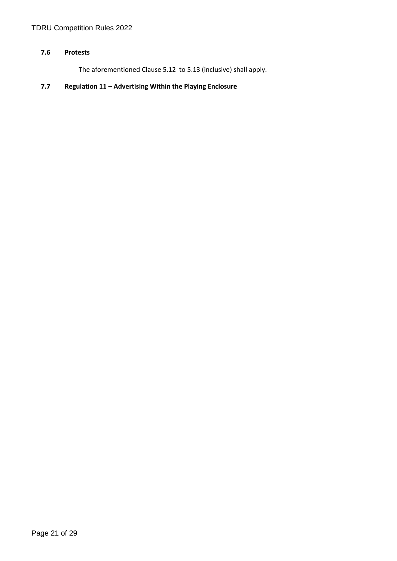# **7.6 Protests**

The aforementioned Clause 5.12 to 5.13 (inclusive) shall apply.

# <span id="page-20-0"></span>**7.7 Regulation 11 – Advertising Within the Playing Enclosure**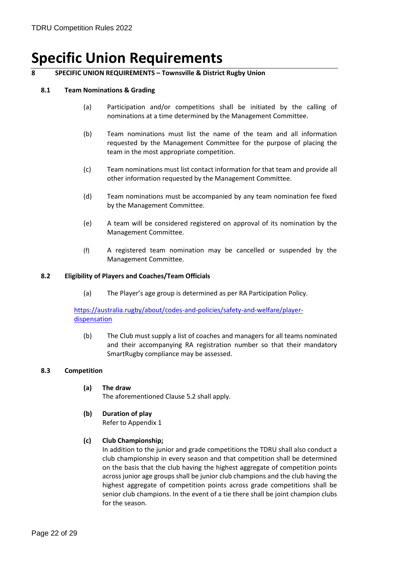# **Specific Union Requirements**

# **8 SPECIFIC UNION REQUIREMENTS – Townsville & District Rugby Union**

### **8.1 Team Nominations & Grading**

- (a) Participation and/or competitions shall be initiated by the calling of nominations at a time determined by the Management Committee.
- (b) Team nominations must list the name of the team and all information requested by the Management Committee for the purpose of placing the team in the most appropriate competition.
- (c) Team nominations must list contact information for that team and provide all other information requested by the Management Committee.
- (d) Team nominations must be accompanied by any team nomination fee fixed by the Management Committee.
- (e) A team will be considered registered on approval of its nomination by the Management Committee.
- (f) A registered team nomination may be cancelled or suspended by the Management Committee.

#### **8.2 Eligibility of Players and Coaches/Team Officials**

(a) The Player's age group is determined as per RA Participation Policy.

[https://australia.rugby/about/codes-and-policies/safety-and-welfare/player](https://australia.rugby/about/codes-and-policies/safety-and-welfare/player-dispensation)[dispensation](https://australia.rugby/about/codes-and-policies/safety-and-welfare/player-dispensation)

(b) The Club must supply a list of coaches and managers for all teams nominated and their accompanying RA registration number so that their mandatory SmartRugby compliance may be assessed.

#### **8.3 Competition**

**(a) The draw**

The aforementioned Clause 5.2 shall apply.

**(b) Duration of play**

Refer to Appendix 1

### **(c) Club Championship;**

In addition to the junior and grade competitions the TDRU shall also conduct a club championship in every season and that competition shall be determined on the basis that the club having the highest aggregate of competition points across junior age groups shall be junior club champions and the club having the highest aggregate of competition points across grade competitions shall be senior club champions. In the event of a tie there shall be joint champion clubs for the season.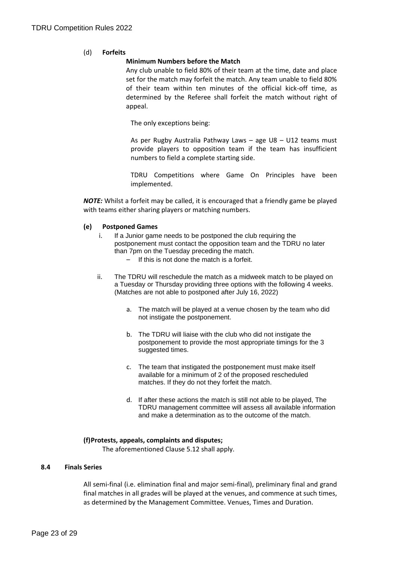# (d) **Forfeits**

# **Minimum Numbers before the Match**

Any club unable to field 80% of their team at the time, date and place set for the match may forfeit the match. Any team unable to field 80% of their team within ten minutes of the official kick-off time, as determined by the Referee shall forfeit the match without right of appeal.

The only exceptions being:

As per Rugby Australia Pathway Laws – age U8 – U12 teams must provide players to opposition team if the team has insufficient numbers to field a complete starting side.

TDRU Competitions where Game On Principles have been implemented.

*NOTE:* Whilst a forfeit may be called, it is encouraged that a friendly game be played with teams either sharing players or matching numbers.

### **(e) Postponed Games**

- i. If a Junior game needs to be postponed the club requiring the postponement must contact the opposition team and the TDRU no later than 7pm on the Tuesday preceding the match.
	- If this is not done the match is a forfeit.
- ii. The TDRU will reschedule the match as a midweek match to be played on a Tuesday or Thursday providing three options with the following 4 weeks. (Matches are not able to postponed after July 16, 2022)
	- a. The match will be played at a venue chosen by the team who did not instigate the postponement.
	- b. The TDRU will liaise with the club who did not instigate the postponement to provide the most appropriate timings for the 3 suggested times.
	- c. The team that instigated the postponement must make itself available for a minimum of 2 of the proposed rescheduled matches. If they do not they forfeit the match.
	- d. If after these actions the match is still not able to be played, The TDRU management committee will assess all available information and make a determination as to the outcome of the match.

### **(f)Protests, appeals, complaints and disputes;**

The aforementioned Clause 5.12 shall apply.

### **8.4 Finals Series**

All semi-final (i.e. elimination final and major semi-final), preliminary final and grand final matches in all grades will be played at the venues, and commence at such times, as determined by the Management Committee. Venues, Times and Duration.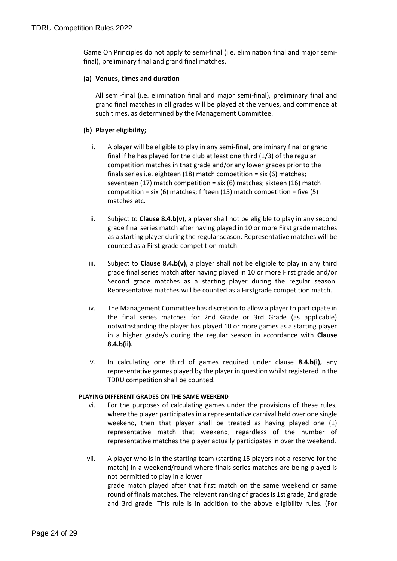Game On Principles do not apply to semi-final (i.e. elimination final and major semifinal), preliminary final and grand final matches.

## **(a) Venues, times and duration**

All semi-final (i.e. elimination final and major semi-final), preliminary final and grand final matches in all grades will be played at the venues, and commence at such times, as determined by the Management Committee.

# **(b) Player eligibility;**

- i. A player will be eligible to play in any semi-final, preliminary final or grand final if he has played for the club at least one third (1/3) of the regular competition matches in that grade and/or any lower grades prior to the finals series i.e. eighteen (18) match competition = six (6) matches; seventeen (17) match competition = six (6) matches; sixteen (16) match competition = six (6) matches; fifteen (15) match competition = five (5) matches etc.
- ii. Subject to **Clause 8.4.b(v**), a player shall not be eligible to play in any second grade final series match after having played in 10 or more First grade matches as a starting player during the regular season. Representative matches will be counted as a First grade competition match.
- iii. Subject to **Clause 8.4.b(v),** a player shall not be eligible to play in any third grade final series match after having played in 10 or more First grade and/or Second grade matches as a starting player during the regular season. Representative matches will be counted as a Firstgrade competition match.
- iv. The Management Committee has discretion to allow a player to participate in the final series matches for 2nd Grade or 3rd Grade (as applicable) notwithstanding the player has played 10 or more games as a starting player in a higher grade/s during the regular season in accordance with **Clause 8.4.b(ii).**
- v. In calculating one third of games required under clause **8.4.b(i),** any representative games played by the player in question whilst registered in the TDRU competition shall be counted.

### **PLAYING DIFFERENT GRADES ON THE SAME WEEKEND**

- vi. For the purposes of calculating games under the provisions of these rules, where the player participates in a representative carnival held over one single weekend, then that player shall be treated as having played one (1) representative match that weekend, regardless of the number of representative matches the player actually participates in over the weekend.
- vii. A player who is in the starting team (starting 15 players not a reserve for the match) in a weekend/round where finals series matches are being played is not permitted to play in a lower grade match played after that first match on the same weekend or same round of finals matches. The relevant ranking of grades is 1st grade, 2nd grade and 3rd grade. This rule is in addition to the above eligibility rules. (For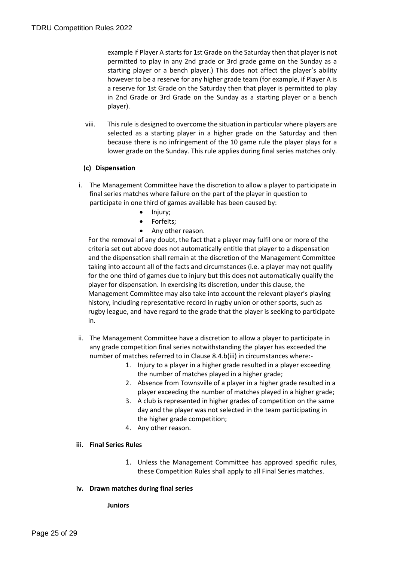example if Player A starts for 1st Grade on the Saturday then that player is not permitted to play in any 2nd grade or 3rd grade game on the Sunday as a starting player or a bench player.) This does not affect the player's ability however to be a reserve for any higher grade team (for example, if Player A is a reserve for 1st Grade on the Saturday then that player is permitted to play in 2nd Grade or 3rd Grade on the Sunday as a starting player or a bench player).

viii. This rule is designed to overcome the situation in particular where players are selected as a starting player in a higher grade on the Saturday and then because there is no infringement of the 10 game rule the player plays for a lower grade on the Sunday. This rule applies during final series matches only.

# **(c) Dispensation**

- i. The Management Committee have the discretion to allow a player to participate in final series matches where failure on the part of the player in question to participate in one third of games available has been caused by:
	- Injury;
	- Forfeits;
	- Any other reason.

For the removal of any doubt, the fact that a player may fulfil one or more of the criteria set out above does not automatically entitle that player to a dispensation and the dispensation shall remain at the discretion of the Management Committee taking into account all of the facts and circumstances (i.e. a player may not qualify for the one third of games due to injury but this does not automatically qualify the player for dispensation. In exercising its discretion, under this clause, the Management Committee may also take into account the relevant player's playing history, including representative record in rugby union or other sports, such as rugby league, and have regard to the grade that the player is seeking to participate in.

- ii. The Management Committee have a discretion to allow a player to participate in any grade competition final series notwithstanding the player has exceeded the number of matches referred to in Clause 8.4.b(iii) in circumstances where:-
	- 1. Injury to a player in a higher grade resulted in a player exceeding the number of matches played in a higher grade;
	- 2. Absence from Townsville of a player in a higher grade resulted in a player exceeding the number of matches played in a higher grade;
	- 3. A club is represented in higher grades of competition on the same day and the player was not selected in the team participating in the higher grade competition;
	- 4. Any other reason.

### **iii. Final Series Rules**

- 1. Unless the Management Committee has approved specific rules, these Competition Rules shall apply to all Final Series matches.
- **iv. Drawn matches during final series**

### **Juniors**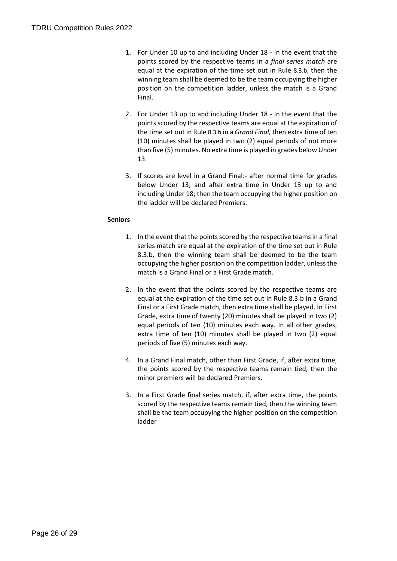- 1. For Under 10 up to and including Under 18 In the event that the points scored by the respective teams in a *final series match* are equal at the expiration of the time set out in Rule 8.3.b, then the winning team shall be deemed to be the team occupying the higher position on the competition ladder, unless the match is a Grand Final.
- 2. For Under 13 up to and including Under 18 In the event that the points scored by the respective teams are equal at the expiration of the time set out in Rule 8.3.b in a *Grand Final,* then extra time of ten (10) minutes shall be played in two (2) equal periods of not more than five (5) minutes. No extra time is played in grades below Under 13.
- 3. If scores are level in a Grand Final:- after normal time for grades below Under 13; and after extra time in Under 13 up to and including Under 18; then the team occupying the higher position on the ladder will be declared Premiers.

# **Seniors**

- 1. In the event that the points scored by the respective teams in a final series match are equal at the expiration of the time set out in Rule 8.3.b, then the winning team shall be deemed to be the team occupying the higher position on the competition ladder, unless the match is a Grand Final or a First Grade match.
- 2. In the event that the points scored by the respective teams are equal at the expiration of the time set out in Rule 8.3.b in a Grand Final or a First Grade match, then extra time shall be played. In First Grade, extra time of twenty (20) minutes shall be played in two (2) equal periods of ten (10) minutes each way. In all other grades, extra time of ten (10) minutes shall be played in two (2) equal periods of five (5) minutes each way.
- 4. In a Grand Final match, other than First Grade, if, after extra time, the points scored by the respective teams remain tied, then the minor premiers will be declared Premiers.
- 3. In a First Grade final series match, if, after extra time, the points scored by the respective teams remain tied, then the winning team shall be the team occupying the higher position on the competition ladder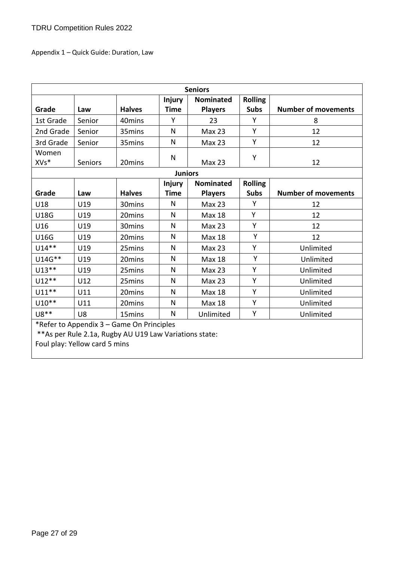Appendix 1 – Quick Guide: Duration, Law

| <b>Seniors</b>                                          |                |                    |                |                   |                |                            |
|---------------------------------------------------------|----------------|--------------------|----------------|-------------------|----------------|----------------------------|
|                                                         |                |                    | <b>Injury</b>  | <b>Nominated</b>  | <b>Rolling</b> |                            |
| Grade                                                   | Law            | <b>Halves</b>      | <b>Time</b>    | <b>Players</b>    | <b>Subs</b>    | <b>Number of movements</b> |
| 1st Grade                                               | Senior         | 40mins             | Υ              | 23                | Y              | 8                          |
| 2nd Grade                                               | Senior         | 35mins             | N              | <b>Max 23</b>     | Y              | 12                         |
| 3rd Grade                                               | Senior         | 35mins             | N              | <b>Max 23</b>     | Y              | 12                         |
| Women<br>XVs*                                           | <b>Seniors</b> | 20mins             | N              | <b>Max 23</b>     | Y              | 12                         |
|                                                         |                |                    | <b>Juniors</b> |                   |                |                            |
|                                                         |                |                    | <b>Injury</b>  | <b>Nominated</b>  | <b>Rolling</b> |                            |
| Grade                                                   | Law            | <b>Halves</b>      | <b>Time</b>    | <b>Players</b>    | <b>Subs</b>    | <b>Number of movements</b> |
| U18                                                     | U19            | 30 <sub>mins</sub> | N              | Max 23            | Y              | 12                         |
| <b>U18G</b>                                             | U19            | 20mins             | N              | <b>Max 18</b>     | Y              | 12                         |
| U16                                                     | U19            | 30mins             | N              | <b>Max 23</b>     | Υ              | 12                         |
| <b>U16G</b>                                             | U19            | 20mins             | N              | <b>Max 18</b>     | Y              | 12                         |
| $U14**$                                                 | U19            | 25mins             | N              | Max 23            | Y              | Unlimited                  |
| U14G**                                                  | U19            | 20mins             | N              | <b>Max 18</b>     | Y              | Unlimited                  |
| $U13**$                                                 | U19            | 25mins             | N              | Max <sub>23</sub> | Y              | Unlimited                  |
| $U12**$                                                 | U12            | 25mins             | N              | <b>Max 23</b>     | Y              | Unlimited                  |
| $U11**$                                                 | U11            | 20 <sub>mins</sub> | N              | <b>Max 18</b>     | Y              | Unlimited                  |
| $U10**$                                                 | U11            | 20mins             | N              | <b>Max 18</b>     | Y              | Unlimited                  |
| U8**                                                    | U <sub>8</sub> | 15 <sub>mins</sub> | N              | Unlimited         | Υ              | Unlimited                  |
| *Refer to Appendix 3 - Game On Principles               |                |                    |                |                   |                |                            |
| ** As per Rule 2.1a, Rugby AU U19 Law Variations state: |                |                    |                |                   |                |                            |
| Foul play: Yellow card 5 mins                           |                |                    |                |                   |                |                            |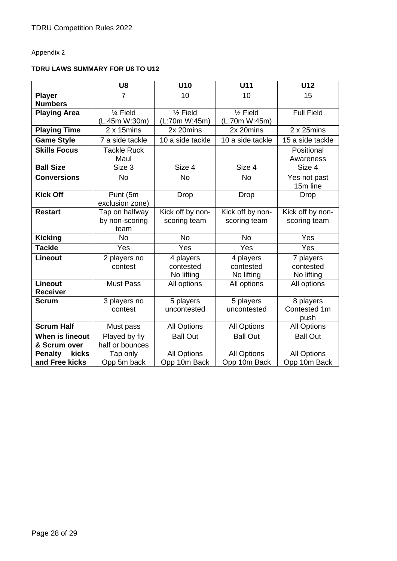# Appendix 2

# **TDRU LAWS SUMMARY FOR U8 TO U12**

|                                        | U8                                       | U10                                  | U11                                  | U12                                  |
|----------------------------------------|------------------------------------------|--------------------------------------|--------------------------------------|--------------------------------------|
| <b>Player</b><br><b>Numbers</b>        | $\overline{7}$                           | 10                                   | 10                                   | 15                                   |
| <b>Playing Area</b>                    | 1⁄4 Field<br>(L:45m W:30m)               | $\frac{1}{2}$ Field<br>(L:70m W:45m) | $\frac{1}{2}$ Field<br>(L:70m W:45m) | <b>Full Field</b>                    |
| <b>Playing Time</b>                    | $2 \times 15$ mins                       | 2x 20mins                            | 2x 20mins                            | $2 \times 25$ mins                   |
| Game Style                             | 7 a side tackle                          | 10 a side tackle                     | 10 a side tackle                     | 15 a side tackle                     |
| <b>Skills Focus</b>                    | <b>Tackle Ruck</b><br>Maul               |                                      |                                      | Positional<br>Awareness              |
| <b>Ball Size</b>                       | Size 3                                   | Size 4                               | Size 4                               | Size 4                               |
| <b>Conversions</b>                     | <b>No</b>                                | <b>No</b>                            | <b>No</b>                            | Yes not past<br>15m line             |
| <b>Kick Off</b>                        | Punt (5m<br>exclusion zone)              | <b>Drop</b>                          | <b>Drop</b>                          | <b>Drop</b>                          |
| <b>Restart</b>                         | Tap on halfway<br>by non-scoring<br>team | Kick off by non-<br>scoring team     | Kick off by non-<br>scoring team     | Kick off by non-<br>scoring team     |
| <b>Kicking</b>                         | <b>No</b>                                | <b>No</b>                            | <b>No</b>                            | Yes                                  |
| <b>Tackle</b>                          | Yes                                      | Yes                                  | Yes                                  | Yes                                  |
| <b>Lineout</b>                         | 2 players no<br>contest                  | 4 players<br>contested<br>No lifting | 4 players<br>contested<br>No lifting | 7 players<br>contested<br>No lifting |
| <b>Lineout</b><br><b>Receiver</b>      | <b>Must Pass</b>                         | All options                          | All options                          | All options                          |
| Scrum                                  | 3 players no<br>contest                  | 5 players<br>uncontested             | 5 players<br>uncontested             | 8 players<br>Contested 1m<br>push    |
| <b>Scrum Half</b>                      | Must pass                                | <b>All Options</b>                   | <b>All Options</b>                   | <b>All Options</b>                   |
| <b>When is lineout</b><br>& Scrum over | Played by fly<br>half or bounces         | <b>Ball Out</b>                      | <b>Ball Out</b>                      | <b>Ball Out</b>                      |
| <b>Penalty</b><br>kicks                | Tap only                                 | <b>All Options</b>                   | <b>All Options</b>                   | <b>All Options</b>                   |
| and Free kicks                         | Opp 5m back                              | Opp 10m Back                         | Opp 10m Back                         | Opp 10m Back                         |